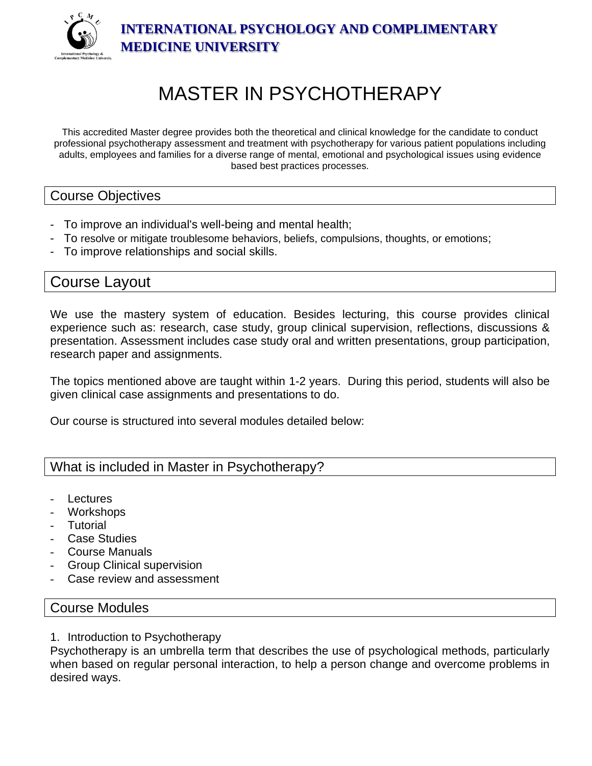

**INTERNATIONAL PSYCHOLOGY AND COMPLIMENTARY MEDICINE UNIVERSITY**

# MASTER IN PSYCHOTHERAPY

This accredited Master degree provides both the theoretical and clinical knowledge for the candidate to conduct professional psychotherapy assessment and treatment with psychotherapy for various patient populations including adults, employees and families for a diverse range of mental, emotional and psychological issues using evidence based best practices processes.

#### Course Objectives

- To improve an individual's well-being and mental health;
- To resolve or mitigate troublesome behaviors, beliefs, compulsions, thoughts, or emotions;
- To improve relationships and social skills.

## Course Layout

We use the mastery system of education. Besides lecturing, this course provides clinical experience such as: research, case study, group clinical supervision, reflections, discussions & presentation. Assessment includes case study oral and written presentations, group participation, research paper and assignments.

The topics mentioned above are taught within 1-2 years. During this period, students will also be given clinical case assignments and presentations to do.

Our course is structured into several modules detailed below:

## What is included in Master in Psychotherapy?

- **Lectures**
- Workshops
- **Tutorial**
- **Case Studies**
- Course Manuals
- Group Clinical supervision
- Case review and assessment

#### Course Modules

1. Introduction to Psychotherapy

Psychotherapy is an umbrella term that describes the use of psychological methods, particularly when based on regular personal interaction, to help a person change and overcome problems in desired ways.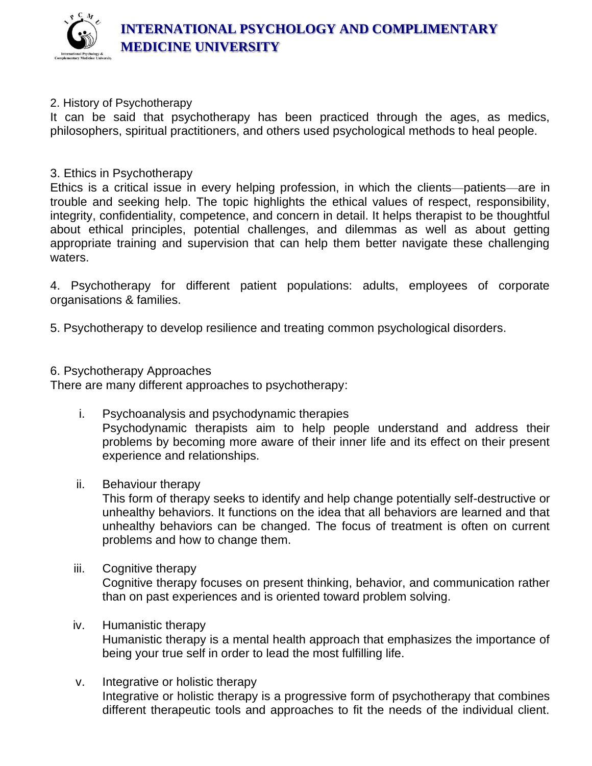

#### 2. History of Psychotherapy

It can be said that psychotherapy has been practiced through the ages, as medics, philosophers, spiritual practitioners, and others used psychological methods to heal people.

#### 3. Ethics in Psychotherapy

Ethics is a critical issue in every helping profession, in which the clients—patients—are in trouble and seeking help. The topic highlights the ethical values of respect, responsibility, integrity, confidentiality, competence, and concern in detail. It helps therapist to be thoughtful about ethical principles, potential challenges, and dilemmas as well as about getting appropriate training and supervision that can help them better navigate these challenging waters.

4. Psychotherapy for different patient populations: adults, employees of corporate organisations & families.

5. Psychotherapy to develop resilience and treating common psychological disorders.

#### 6. Psychotherapy Approaches

There are many different approaches to psychotherapy:

- i. Psychoanalysis and psychodynamic therapies Psychodynamic therapists aim to help people understand and address their problems by becoming more aware of their inner life and its effect on their present experience and relationships.
- ii. Behaviour therapy

This form of therapy seeks to identify and help change potentially self-destructive or unhealthy behaviors. It functions on the idea that all behaviors are learned and that unhealthy behaviors can be changed. The focus of treatment is often on current problems and how to change them.

iii. Cognitive therapy

Cognitive therapy focuses on present thinking, behavior, and communication rather than on past experiences and is oriented toward problem solving.

#### iv. Humanistic therapy

Humanistic therapy is a mental health approach that emphasizes the importance of being your true self in order to lead the most fulfilling life.

v. Integrative or holistic therapy Integrative or holistic therapy is a progressive form of psychotherapy that combines different therapeutic tools and approaches to fit the needs of the individual client.